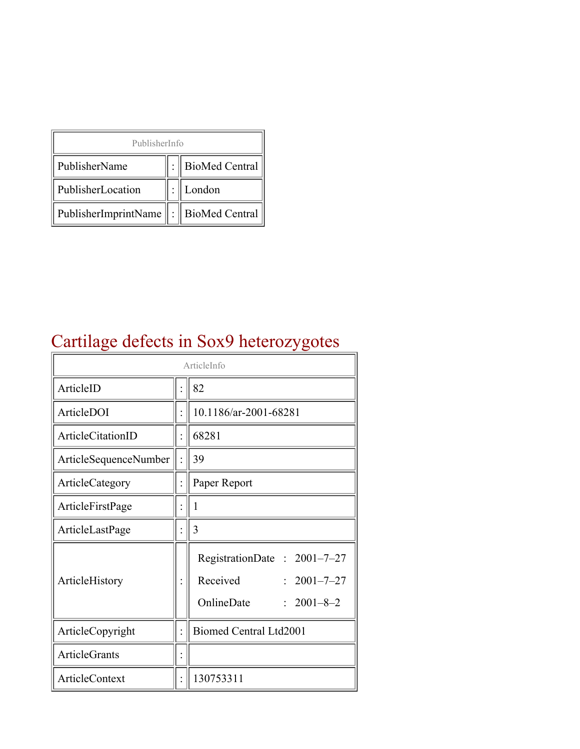| PublisherInfo                                   |  |                    |  |  |
|-------------------------------------------------|--|--------------------|--|--|
| PublisherName                                   |  | :   BioMed Central |  |  |
| PublisherLocation                               |  | London             |  |  |
| PublisherImprintName $\ \cdot\ $ BioMed Central |  |                    |  |  |

## Cartilage defects in Sox9 heterozygotes

| ArticleInfo           |  |                                                                                                |  |
|-----------------------|--|------------------------------------------------------------------------------------------------|--|
| ArticleID             |  | 82                                                                                             |  |
| ArticleDOI            |  | 10.1186/ar-2001-68281                                                                          |  |
| ArticleCitationID     |  | 68281                                                                                          |  |
| ArticleSequenceNumber |  | 39                                                                                             |  |
| ArticleCategory       |  | Paper Report                                                                                   |  |
| ArticleFirstPage      |  | 1                                                                                              |  |
| ArticleLastPage       |  | 3                                                                                              |  |
| ArticleHistory        |  | RegistrationDate: 2001-7-27<br>Received<br>$: 2001 - 7 - 27$<br>OnlineDate<br>$: 2001 - 8 - 2$ |  |
| ArticleCopyright      |  | <b>Biomed Central Ltd2001</b>                                                                  |  |
| <b>ArticleGrants</b>  |  |                                                                                                |  |
| <b>ArticleContext</b> |  | 130753311                                                                                      |  |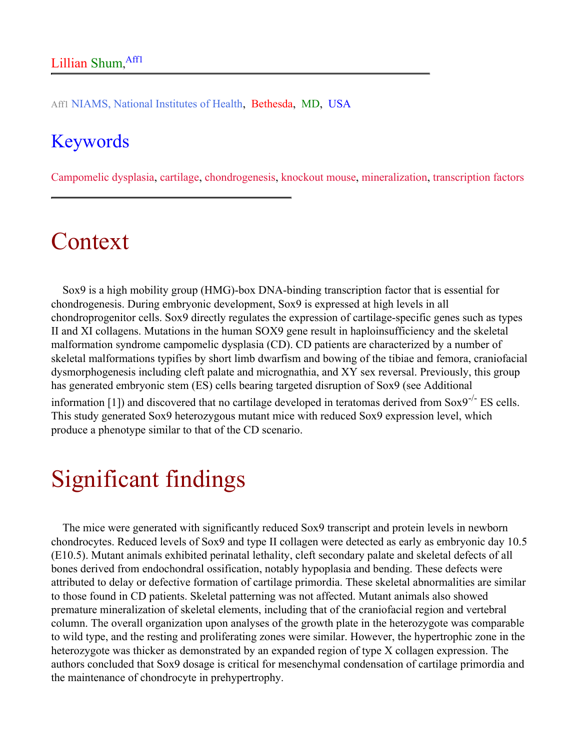Aff1 NIAMS, National Institutes of Health, Bethesda, MD, USA

#### Keywords

Campomelic dysplasia, cartilage, chondrogenesis, knockout mouse, mineralization, transcription factors

#### Context

Sox9 is a high mobility group (HMG)-box DNA-binding transcription factor that is essential for chondrogenesis. During embryonic development, Sox9 is expressed at high levels in all chondroprogenitor cells. Sox9 directly regulates the expression of cartilage-specific genes such as types II and XI collagens. Mutations in the human SOX9 gene result in haploinsufficiency and the skeletal malformation syndrome campomelic dysplasia (CD). CD patients are characterized by a number of skeletal malformations typifies by short limb dwarfism and bowing of the tibiae and femora, craniofacial dysmorphogenesis including cleft palate and micrognathia, and XY sex reversal. Previously, this group has generated embryonic stem (ES) cells bearing targeted disruption of Sox9 (see Additional

information [1]) and discovered that no cartilage developed in teratomas derived from Sox9<sup>-/-</sup> ES cells. This study generated Sox9 heterozygous mutant mice with reduced Sox9 expression level, which produce a phenotype similar to that of the CD scenario.

## Significant findings

The mice were generated with significantly reduced Sox9 transcript and protein levels in newborn chondrocytes. Reduced levels of Sox9 and type II collagen were detected as early as embryonic day 10.5 (E10.5). Mutant animals exhibited perinatal lethality, cleft secondary palate and skeletal defects of all bones derived from endochondral ossification, notably hypoplasia and bending. These defects were attributed to delay or defective formation of cartilage primordia. These skeletal abnormalities are similar to those found in CD patients. Skeletal patterning was not affected. Mutant animals also showed premature mineralization of skeletal elements, including that of the craniofacial region and vertebral column. The overall organization upon analyses of the growth plate in the heterozygote was comparable to wild type, and the resting and proliferating zones were similar. However, the hypertrophic zone in the heterozygote was thicker as demonstrated by an expanded region of type X collagen expression. The authors concluded that Sox9 dosage is critical for mesenchymal condensation of cartilage primordia and the maintenance of chondrocyte in prehypertrophy.